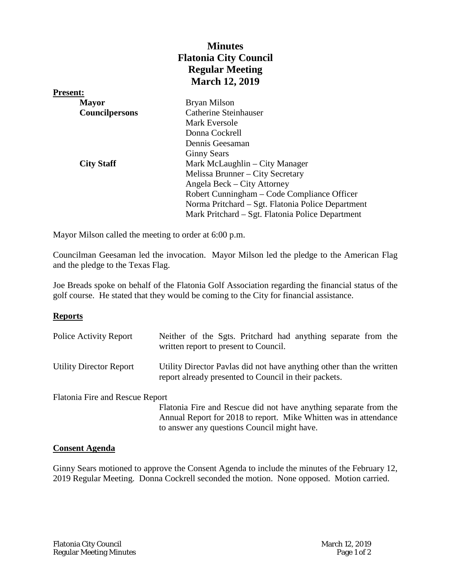# **Minutes Flatonia City Council Regular Meeting March 12, 2019**

| <b>Present:</b>       |                                                   |
|-----------------------|---------------------------------------------------|
| <b>Mayor</b>          | Bryan Milson                                      |
| <b>Councilpersons</b> | <b>Catherine Steinhauser</b>                      |
|                       | Mark Eversole                                     |
|                       | Donna Cockrell                                    |
|                       | Dennis Geesaman                                   |
|                       | <b>Ginny Sears</b>                                |
| <b>City Staff</b>     | Mark McLaughlin – City Manager                    |
|                       | Melissa Brunner – City Secretary                  |
|                       | Angela Beck – City Attorney                       |
|                       | Robert Cunningham – Code Compliance Officer       |
|                       | Norma Pritchard - Sgt. Flatonia Police Department |
|                       | Mark Pritchard – Sgt. Flatonia Police Department  |

Mayor Milson called the meeting to order at 6:00 p.m.

Councilman Geesaman led the invocation. Mayor Milson led the pledge to the American Flag and the pledge to the Texas Flag.

Joe Breads spoke on behalf of the Flatonia Golf Association regarding the financial status of the golf course. He stated that they would be coming to the City for financial assistance.

### **Reports**

| <b>Police Activity Report</b>   | Neither of the Sgts. Pritchard had anything separate from the<br>written report to present to Council.                        |
|---------------------------------|-------------------------------------------------------------------------------------------------------------------------------|
| <b>Utility Director Report</b>  | Utility Director Pavlas did not have anything other than the written<br>report already presented to Council in their packets. |
| Flatonia Fire and Rescue Report |                                                                                                                               |
|                                 | Flatonia Fire and Rescue did not have anything separate from the                                                              |
|                                 | Annual Report for 2018 to report. Mike Whitten was in attendance                                                              |
|                                 | to answer any questions Council might have.                                                                                   |

### **Consent Agenda**

Ginny Sears motioned to approve the Consent Agenda to include the minutes of the February 12, 2019 Regular Meeting. Donna Cockrell seconded the motion. None opposed. Motion carried.